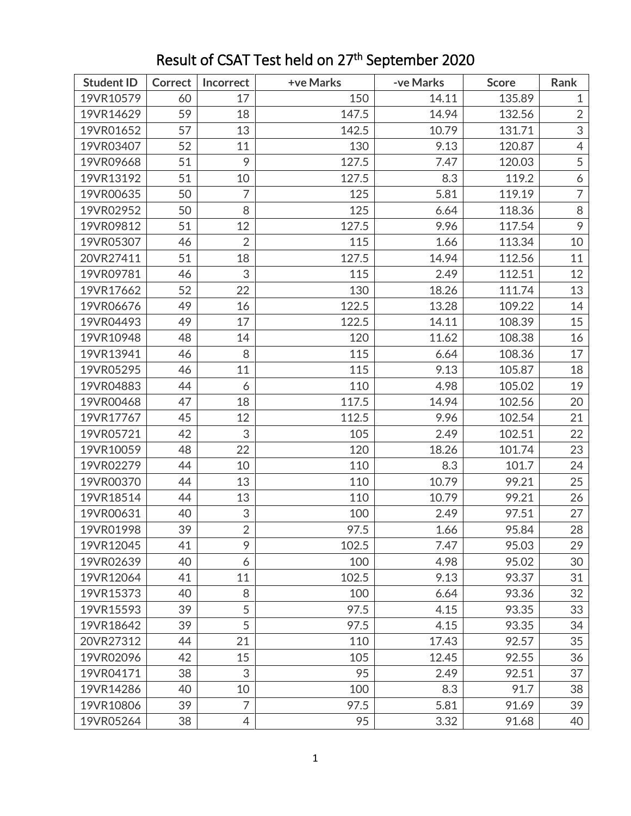| <b>Student ID</b> | <b>Correct</b> | Incorrect                 | +ve Marks | -ve Marks | <b>Score</b> | Rank           |
|-------------------|----------------|---------------------------|-----------|-----------|--------------|----------------|
| 19VR10579         | 60             | 17                        | 150       | 14.11     | 135.89       | $\mathbf{1}$   |
| 19VR14629         | 59             | 18                        | 147.5     | 14.94     | 132.56       | $\overline{2}$ |
| 19VR01652         | 57             | 13                        | 142.5     | 10.79     | 131.71       | 3              |
| 19VR03407         | 52             | 11                        | 130       | 9.13      | 120.87       | $\overline{4}$ |
| 19VR09668         | 51             | 9                         | 127.5     | 7.47      | 120.03       | 5              |
| 19VR13192         | 51             | 10                        | 127.5     | 8.3       | 119.2        | 6              |
| 19VR00635         | 50             | 7                         | 125       | 5.81      | 119.19       | $\overline{7}$ |
| 19VR02952         | 50             | 8                         | 125       | 6.64      | 118.36       | $\, 8$         |
| 19VR09812         | 51             | 12                        | 127.5     | 9.96      | 117.54       | 9              |
| 19VR05307         | 46             | $\overline{2}$            | 115       | 1.66      | 113.34       | 10             |
| 20VR27411         | 51             | 18                        | 127.5     | 14.94     | 112.56       | 11             |
| 19VR09781         | 46             | $\sqrt{3}$                | 115       | 2.49      | 112.51       | 12             |
| 19VR17662         | 52             | 22                        | 130       | 18.26     | 111.74       | 13             |
| 19VR06676         | 49             | 16                        | 122.5     | 13.28     | 109.22       | 14             |
| 19VR04493         | 49             | 17                        | 122.5     | 14.11     | 108.39       | 15             |
| 19VR10948         | 48             | 14                        | 120       | 11.62     | 108.38       | 16             |
| 19VR13941         | 46             | 8                         | 115       | 6.64      | 108.36       | 17             |
| 19VR05295         | 46             | 11                        | 115       | 9.13      | 105.87       | 18             |
| 19VR04883         | 44             | 6                         | 110       | 4.98      | 105.02       | 19             |
| 19VR00468         | 47             | 18                        | 117.5     | 14.94     | 102.56       | 20             |
| 19VR17767         | 45             | 12                        | 112.5     | 9.96      | 102.54       | 21             |
| 19VR05721         | 42             | $\ensuremath{\mathsf{3}}$ | 105       | 2.49      | 102.51       | 22             |
| 19VR10059         | 48             | 22                        | 120       | 18.26     | 101.74       | 23             |
| 19VR02279         | 44             | 10                        | 110       | 8.3       | 101.7        | 24             |
| 19VR00370         | 44             | 13                        | 110       | 10.79     | 99.21        | 25             |
| 19VR18514         | 44             | 13                        | 110       | 10.79     | 99.21        | 26             |
| 19VR00631         | 40             | 3                         | 100       | 2.49      | 97.51        | 27             |
| 19VR01998         | 39             | $\overline{2}$            | 97.5      | 1.66      | 95.84        | 28             |
| 19VR12045         | 41             | 9                         | 102.5     | 7.47      | 95.03        | 29             |
| 19VR02639         | 40             | 6                         | 100       | 4.98      | 95.02        | 30             |
| 19VR12064         | 41             | 11                        | 102.5     | 9.13      | 93.37        | 31             |
| 19VR15373         | 40             | 8                         | 100       | 6.64      | 93.36        | 32             |
| 19VR15593         | 39             | 5                         | 97.5      | 4.15      | 93.35        | 33             |
| 19VR18642         | 39             | 5                         | 97.5      | 4.15      | 93.35        | 34             |
| 20VR27312         | 44             | 21                        | 110       | 17.43     | 92.57        | 35             |
| 19VR02096         | 42             | 15                        | 105       | 12.45     | 92.55        | 36             |
| 19VR04171         | 38             | 3                         | 95        | 2.49      | 92.51        | 37             |
| 19VR14286         | 40             | 10                        | 100       | 8.3       | 91.7         | 38             |
| 19VR10806         | 39             | $\overline{7}$            | 97.5      | 5.81      | 91.69        | 39             |
| 19VR05264         | 38             | $\overline{4}$            | 95        | 3.32      | 91.68        | 40             |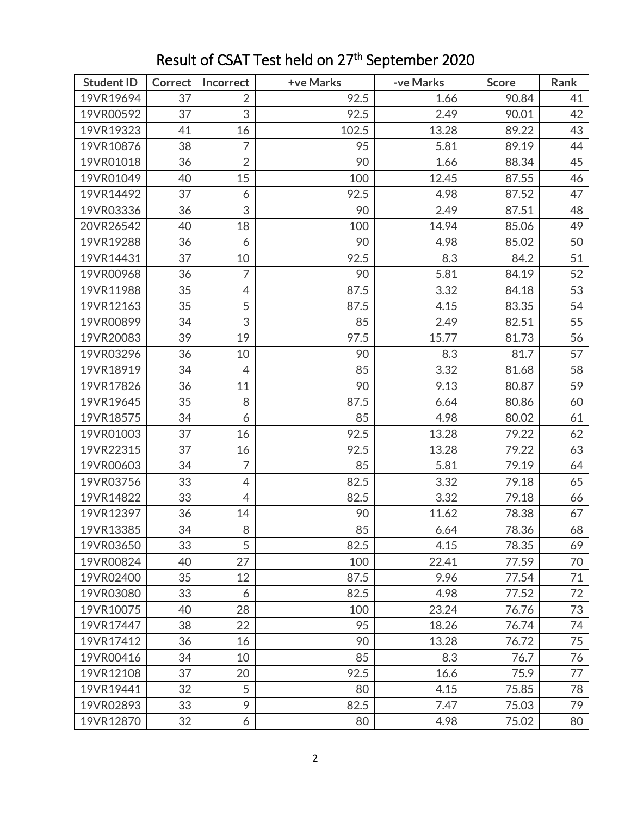| <b>Student ID</b> | <b>Correct</b> | Incorrect      | +ve Marks | -ve Marks | <b>Score</b> | Rank |
|-------------------|----------------|----------------|-----------|-----------|--------------|------|
| 19VR19694         | 37             | $\overline{2}$ | 92.5      | 1.66      | 90.84        | 41   |
| 19VR00592         | 37             | 3              | 92.5      | 2.49      | 90.01        | 42   |
| 19VR19323         | 41             | 16             | 102.5     | 13.28     | 89.22        | 43   |
| 19VR10876         | 38             | $\overline{7}$ | 95        | 5.81      | 89.19        | 44   |
| 19VR01018         | 36             | $\overline{2}$ | 90        | 1.66      | 88.34        | 45   |
| 19VR01049         | 40             | 15             | 100       | 12.45     | 87.55        | 46   |
| 19VR14492         | 37             | 6              | 92.5      | 4.98      | 87.52        | 47   |
| 19VR03336         | 36             | 3              | 90        | 2.49      | 87.51        | 48   |
| 20VR26542         | 40             | 18             | 100       | 14.94     | 85.06        | 49   |
| 19VR19288         | 36             | 6              | 90        | 4.98      | 85.02        | 50   |
| 19VR14431         | 37             | 10             | 92.5      | 8.3       | 84.2         | 51   |
| 19VR00968         | 36             | 7              | 90        | 5.81      | 84.19        | 52   |
| 19VR11988         | 35             | $\overline{4}$ | 87.5      | 3.32      | 84.18        | 53   |
| 19VR12163         | 35             | 5              | 87.5      | 4.15      | 83.35        | 54   |
| 19VR00899         | 34             | 3              | 85        | 2.49      | 82.51        | 55   |
| 19VR20083         | 39             | 19             | 97.5      | 15.77     | 81.73        | 56   |
| 19VR03296         | 36             | 10             | 90        | 8.3       | 81.7         | 57   |
| 19VR18919         | 34             | $\overline{4}$ | 85        | 3.32      | 81.68        | 58   |
| 19VR17826         | 36             | 11             | 90        | 9.13      | 80.87        | 59   |
| 19VR19645         | 35             | 8              | 87.5      | 6.64      | 80.86        | 60   |
| 19VR18575         | 34             | 6              | 85        | 4.98      | 80.02        | 61   |
| 19VR01003         | 37             | 16             | 92.5      | 13.28     | 79.22        | 62   |
| 19VR22315         | 37             | 16             | 92.5      | 13.28     | 79.22        | 63   |
| 19VR00603         | 34             | $\overline{7}$ | 85        | 5.81      | 79.19        | 64   |
| 19VR03756         | 33             | $\overline{4}$ | 82.5      | 3.32      | 79.18        | 65   |
| 19VR14822         | 33             | $\overline{4}$ | 82.5      | 3.32      | 79.18        | 66   |
| 19VR12397         | 36             | 14             | 90        | 11.62     | 78.38        | 67   |
| 19VR13385         | 34             | 8              | 85        | 6.64      | 78.36        | 68   |
| 19VR03650         | 33             | 5              | 82.5      | 4.15      | 78.35        | 69   |
| 19VR00824         | 40             | 27             | 100       | 22.41     | 77.59        | 70   |
| 19VR02400         | 35             | 12             | 87.5      | 9.96      | 77.54        | 71   |
| 19VR03080         | 33             | 6              | 82.5      | 4.98      | 77.52        | 72   |
| 19VR10075         | 40             | 28             | 100       | 23.24     | 76.76        | 73   |
| 19VR17447         | 38             | 22             | 95        | 18.26     | 76.74        | 74   |
| 19VR17412         | 36             | 16             | 90        | 13.28     | 76.72        | 75   |
| 19VR00416         | 34             | 10             | 85        | 8.3       | 76.7         | 76   |
| 19VR12108         | 37             | 20             | 92.5      | 16.6      | 75.9         | 77   |
| 19VR19441         | 32             | 5              | 80        | 4.15      | 75.85        | 78   |
| 19VR02893         | 33             | 9              | 82.5      | 7.47      | 75.03        | 79   |
| 19VR12870         | 32             | 6              | 80        | 4.98      | 75.02        | 80   |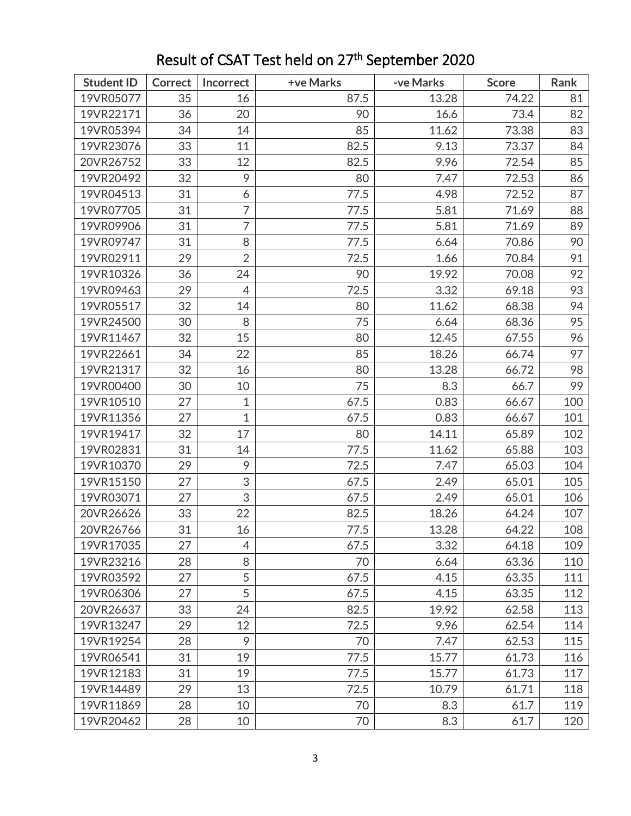| <b>Student ID</b> | <b>Correct</b> | Incorrect      | +ve Marks | -ve Marks | <b>Score</b> | Rank |
|-------------------|----------------|----------------|-----------|-----------|--------------|------|
| 19VR05077         | 35             | 16             | 87.5      | 13.28     | 74.22        | 81   |
| 19VR22171         | 36             | 20             | 90        | 16.6      | 73.4         | 82   |
| 19VR05394         | 34             | 14             | 85        | 11.62     | 73.38        | 83   |
| 19VR23076         | 33             | 11             | 82.5      | 9.13      | 73.37        | 84   |
| 20VR26752         | 33             | 12             | 82.5      | 9.96      | 72.54        | 85   |
| 19VR20492         | 32             | 9              | 80        | 7.47      | 72.53        | 86   |
| 19VR04513         | 31             | 6              | 77.5      | 4.98      | 72.52        | 87   |
| 19VR07705         | 31             | $\overline{7}$ | 77.5      | 5.81      | 71.69        | 88   |
| 19VR09906         | 31             | 7              | 77.5      | 5.81      | 71.69        | 89   |
| 19VR09747         | 31             | 8              | 77.5      | 6.64      | 70.86        | 90   |
| 19VR02911         | 29             | $\overline{2}$ | 72.5      | 1.66      | 70.84        | 91   |
| 19VR10326         | 36             | 24             | 90        | 19.92     | 70.08        | 92   |
| 19VR09463         | 29             | $\overline{4}$ | 72.5      | 3.32      | 69.18        | 93   |
| 19VR05517         | 32             | 14             | 80        | 11.62     | 68.38        | 94   |
| 19VR24500         | 30             | 8              | 75        | 6.64      | 68.36        | 95   |
| 19VR11467         | 32             | 15             | 80        | 12.45     | 67.55        | 96   |
| 19VR22661         | 34             | 22             | 85        | 18.26     | 66.74        | 97   |
| 19VR21317         | 32             | 16             | 80        | 13.28     | 66.72        | 98   |
| 19VR00400         | 30             | 10             | 75        | 8.3       | 66.7         | 99   |
| 19VR10510         | 27             | $\mathbf{1}$   | 67.5      | 0.83      | 66.67        | 100  |
| 19VR11356         | 27             | $\mathbf{1}$   | 67.5      | 0.83      | 66.67        | 101  |
| 19VR19417         | 32             | 17             | 80        | 14.11     | 65.89        | 102  |
| 19VR02831         | 31             | 14             | 77.5      | 11.62     | 65.88        | 103  |
| 19VR10370         | 29             | 9              | 72.5      | 7.47      | 65.03        | 104  |
| 19VR15150         | 27             | 3              | 67.5      | 2.49      | 65.01        | 105  |
| 19VR03071         | 27             | 3              | 67.5      | 2.49      | 65.01        | 106  |
| 20VR26626         | 33             | 22             | 82.5      | 18.26     | 64.24        | 107  |
| 20VR26766         | 31             | 16             | 77.5      | 13.28     | 64.22        | 108  |
| 19VR17035         | 27             | 4              | 67.5      | 3.32      | 64.18        | 109  |
| 19VR23216         | 28             | 8              | 70        | 6.64      | 63.36        | 110  |
| 19VR03592         | 27             | 5              | 67.5      | 4.15      | 63.35        | 111  |
| 19VR06306         | 27             | 5              | 67.5      | 4.15      | 63.35        | 112  |
| 20VR26637         | 33             | 24             | 82.5      | 19.92     | 62.58        | 113  |
| 19VR13247         | 29             | 12             | 72.5      | 9.96      | 62.54        | 114  |
| 19VR19254         | 28             | 9              | 70        | 7.47      | 62.53        | 115  |
| 19VR06541         | 31             | 19             | 77.5      | 15.77     | 61.73        | 116  |
| 19VR12183         | 31             | 19             | 77.5      | 15.77     | 61.73        | 117  |
| 19VR14489         | 29             | 13             | 72.5      | 10.79     | 61.71        | 118  |
| 19VR11869         | 28             | 10             | 70        | 8.3       | 61.7         | 119  |
| 19VR20462         | 28             | 10             | 70        | 8.3       | 61.7         | 120  |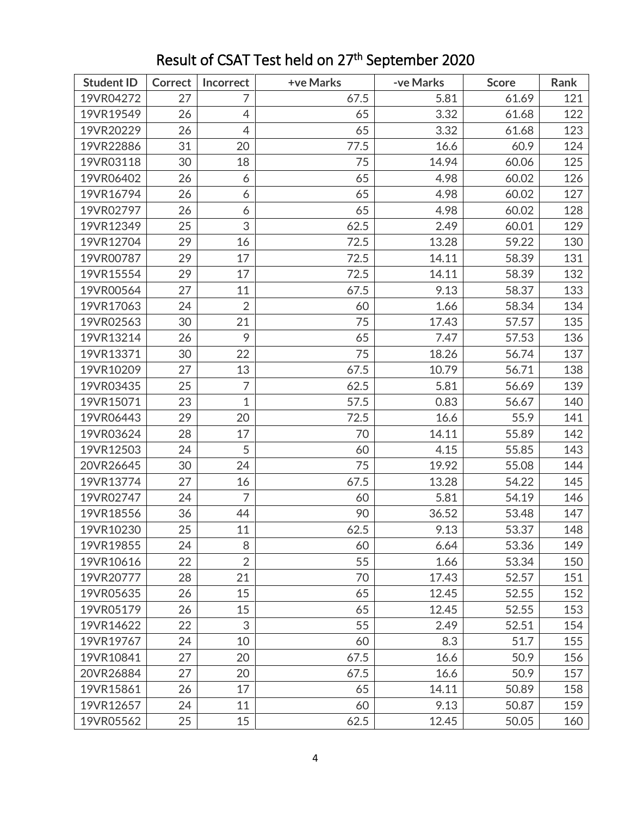| <b>Student ID</b> | <b>Correct</b> | Incorrect      | +ve Marks | -ve Marks | <b>Score</b> | Rank |
|-------------------|----------------|----------------|-----------|-----------|--------------|------|
| 19VR04272         | 27             | 7              | 67.5      | 5.81      | 61.69        | 121  |
| 19VR19549         | 26             | $\overline{4}$ | 65        | 3.32      | 61.68        | 122  |
| 19VR20229         | 26             | $\overline{4}$ | 65        | 3.32      | 61.68        | 123  |
| 19VR22886         | 31             | 20             | 77.5      | 16.6      | 60.9         | 124  |
| 19VR03118         | 30             | 18             | 75        | 14.94     | 60.06        | 125  |
| 19VR06402         | 26             | 6              | 65        | 4.98      | 60.02        | 126  |
| 19VR16794         | 26             | 6              | 65        | 4.98      | 60.02        | 127  |
| 19VR02797         | 26             | 6              | 65        | 4.98      | 60.02        | 128  |
| 19VR12349         | 25             | 3              | 62.5      | 2.49      | 60.01        | 129  |
| 19VR12704         | 29             | 16             | 72.5      | 13.28     | 59.22        | 130  |
| 19VR00787         | 29             | 17             | 72.5      | 14.11     | 58.39        | 131  |
| 19VR15554         | 29             | 17             | 72.5      | 14.11     | 58.39        | 132  |
| 19VR00564         | 27             | 11             | 67.5      | 9.13      | 58.37        | 133  |
| 19VR17063         | 24             | $\overline{2}$ | 60        | 1.66      | 58.34        | 134  |
| 19VR02563         | 30             | 21             | 75        | 17.43     | 57.57        | 135  |
| 19VR13214         | 26             | 9              | 65        | 7.47      | 57.53        | 136  |
| 19VR13371         | 30             | 22             | 75        | 18.26     | 56.74        | 137  |
| 19VR10209         | 27             | 13             | 67.5      | 10.79     | 56.71        | 138  |
| 19VR03435         | 25             | 7              | 62.5      | 5.81      | 56.69        | 139  |
| 19VR15071         | 23             | $\mathbf{1}$   | 57.5      | 0.83      | 56.67        | 140  |
| 19VR06443         | 29             | 20             | 72.5      | 16.6      | 55.9         | 141  |
| 19VR03624         | 28             | 17             | 70        | 14.11     | 55.89        | 142  |
| 19VR12503         | 24             | 5              | 60        | 4.15      | 55.85        | 143  |
| 20VR26645         | 30             | 24             | 75        | 19.92     | 55.08        | 144  |
| 19VR13774         | 27             | 16             | 67.5      | 13.28     | 54.22        | 145  |
| 19VR02747         | 24             | $\overline{7}$ | 60        | 5.81      | 54.19        | 146  |
| 19VR18556         | 36             | 44             | 90        | 36.52     | 53.48        | 147  |
| 19VR10230         | 25             | 11             | 62.5      | 9.13      | 53.37        | 148  |
| 19VR19855         | 24             | 8              | 60        | 6.64      | 53.36        | 149  |
| 19VR10616         | 22             | $\overline{2}$ | 55        | 1.66      | 53.34        | 150  |
| 19VR20777         | 28             | 21             | 70        | 17.43     | 52.57        | 151  |
| 19VR05635         | 26             | 15             | 65        | 12.45     | 52.55        | 152  |
| 19VR05179         | 26             | 15             | 65        | 12.45     | 52.55        | 153  |
| 19VR14622         | 22             | 3              | 55        | 2.49      | 52.51        | 154  |
| 19VR19767         | 24             | 10             | 60        | 8.3       | 51.7         | 155  |
| 19VR10841         | 27             | 20             | 67.5      | 16.6      | 50.9         | 156  |
| 20VR26884         | 27             | 20             | 67.5      | 16.6      | 50.9         | 157  |
| 19VR15861         | 26             | 17             | 65        | 14.11     | 50.89        | 158  |
| 19VR12657         | 24             | 11             | 60        | 9.13      | 50.87        | 159  |
| 19VR05562         | 25             | 15             | 62.5      | 12.45     | 50.05        | 160  |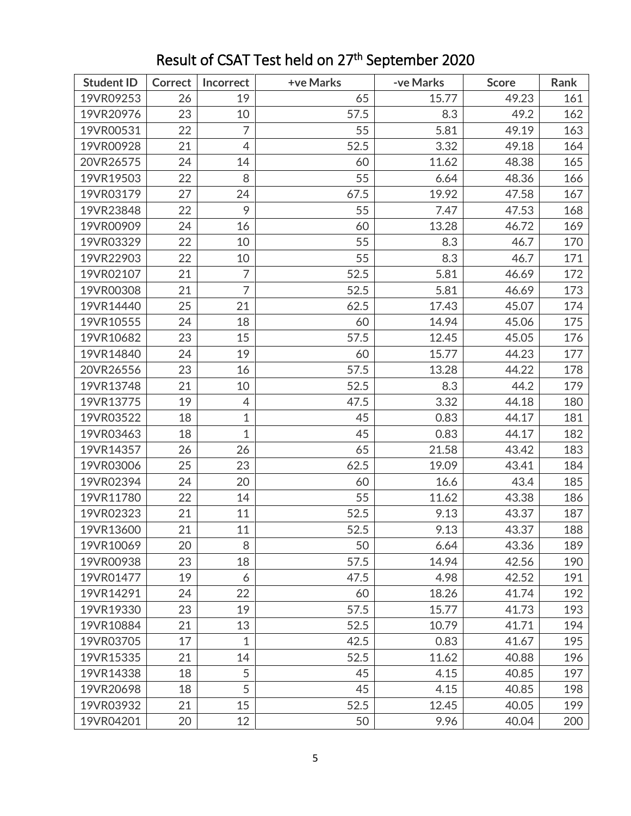| <b>Student ID</b> | <b>Correct</b> | Incorrect      | +ve Marks | -ve Marks | <b>Score</b> | Rank |
|-------------------|----------------|----------------|-----------|-----------|--------------|------|
| 19VR09253         | 26             | 19             | 65        | 15.77     | 49.23        | 161  |
| 19VR20976         | 23             | 10             | 57.5      | 8.3       | 49.2         | 162  |
| 19VR00531         | 22             | 7              | 55        | 5.81      | 49.19        | 163  |
| 19VR00928         | 21             | $\overline{4}$ | 52.5      | 3.32      | 49.18        | 164  |
| 20VR26575         | 24             | 14             | 60        | 11.62     | 48.38        | 165  |
| 19VR19503         | 22             | 8              | 55        | 6.64      | 48.36        | 166  |
| 19VR03179         | 27             | 24             | 67.5      | 19.92     | 47.58        | 167  |
| 19VR23848         | 22             | 9              | 55        | 7.47      | 47.53        | 168  |
| 19VR00909         | 24             | 16             | 60        | 13.28     | 46.72        | 169  |
| 19VR03329         | 22             | 10             | 55        | 8.3       | 46.7         | 170  |
| 19VR22903         | 22             | 10             | 55        | 8.3       | 46.7         | 171  |
| 19VR02107         | 21             | $\overline{7}$ | 52.5      | 5.81      | 46.69        | 172  |
| 19VR00308         | 21             | $\overline{7}$ | 52.5      | 5.81      | 46.69        | 173  |
| 19VR14440         | 25             | 21             | 62.5      | 17.43     | 45.07        | 174  |
| 19VR10555         | 24             | 18             | 60        | 14.94     | 45.06        | 175  |
| 19VR10682         | 23             | 15             | 57.5      | 12.45     | 45.05        | 176  |
| 19VR14840         | 24             | 19             | 60        | 15.77     | 44.23        | 177  |
| 20VR26556         | 23             | 16             | 57.5      | 13.28     | 44.22        | 178  |
| 19VR13748         | 21             | 10             | 52.5      | 8.3       | 44.2         | 179  |
| 19VR13775         | 19             | $\overline{4}$ | 47.5      | 3.32      | 44.18        | 180  |
| 19VR03522         | 18             | $\mathbf{1}$   | 45        | 0.83      | 44.17        | 181  |
| 19VR03463         | 18             | $\mathbf{1}$   | 45        | 0.83      | 44.17        | 182  |
| 19VR14357         | 26             | 26             | 65        | 21.58     | 43.42        | 183  |
| 19VR03006         | 25             | 23             | 62.5      | 19.09     | 43.41        | 184  |
| 19VR02394         | 24             | 20             | 60        | 16.6      | 43.4         | 185  |
| 19VR11780         | 22             | 14             | 55        | 11.62     | 43.38        | 186  |
| 19VR02323         | 21             | 11             | 52.5      | 9.13      | 43.37        | 187  |
| 19VR13600         | 21             | 11             | 52.5      | 9.13      | 43.37        | 188  |
| 19VR10069         | 20             | 8              | 50        | 6.64      | 43.36        | 189  |
| 19VR00938         | 23             | 18             | 57.5      | 14.94     | 42.56        | 190  |
| 19VR01477         | 19             | 6              | 47.5      | 4.98      | 42.52        | 191  |
| 19VR14291         | 24             | 22             | 60        | 18.26     | 41.74        | 192  |
| 19VR19330         | 23             | 19             | 57.5      | 15.77     | 41.73        | 193  |
| 19VR10884         | 21             | 13             | 52.5      | 10.79     | 41.71        | 194  |
| 19VR03705         | 17             | $\mathbf{1}$   | 42.5      | 0.83      | 41.67        | 195  |
| 19VR15335         | 21             | 14             | 52.5      | 11.62     | 40.88        | 196  |
| 19VR14338         | 18             | 5              | 45        | 4.15      | 40.85        | 197  |
| 19VR20698         | 18             | 5              | 45        | 4.15      | 40.85        | 198  |
| 19VR03932         | 21             | 15             | 52.5      | 12.45     | 40.05        | 199  |
| 19VR04201         | 20             | 12             | 50        | 9.96      | 40.04        | 200  |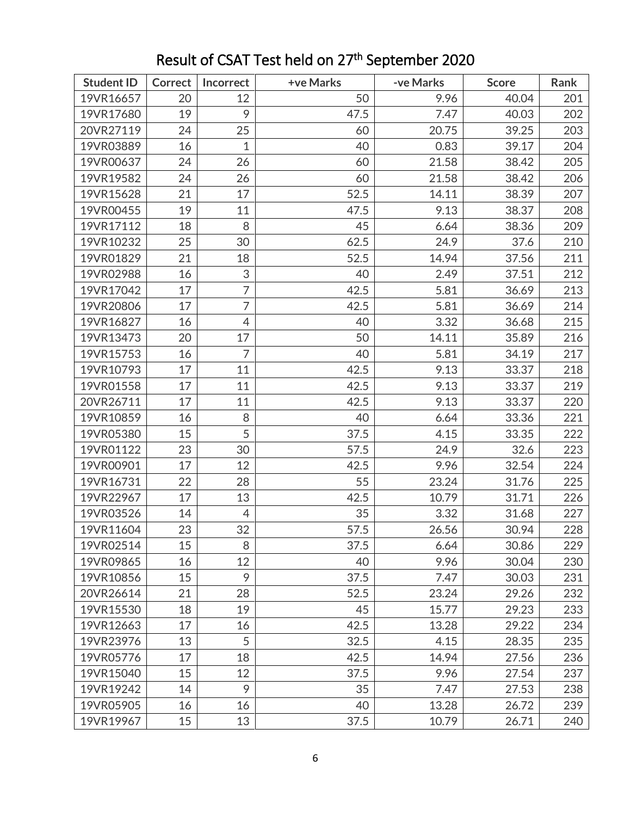| <b>Student ID</b> | <b>Correct</b> | Incorrect      | +ve Marks | -ve Marks | <b>Score</b> | Rank |
|-------------------|----------------|----------------|-----------|-----------|--------------|------|
| 19VR16657         | 20             | 12             | 50        | 9.96      | 40.04        | 201  |
| 19VR17680         | 19             | 9              | 47.5      | 7.47      | 40.03        | 202  |
| 20VR27119         | 24             | 25             | 60        | 20.75     | 39.25        | 203  |
| 19VR03889         | 16             | 1              | 40        | 0.83      | 39.17        | 204  |
| 19VR00637         | 24             | 26             | 60        | 21.58     | 38.42        | 205  |
| 19VR19582         | 24             | 26             | 60        | 21.58     | 38.42        | 206  |
| 19VR15628         | 21             | 17             | 52.5      | 14.11     | 38.39        | 207  |
| 19VR00455         | 19             | 11             | 47.5      | 9.13      | 38.37        | 208  |
| 19VR17112         | 18             | 8              | 45        | 6.64      | 38.36        | 209  |
| 19VR10232         | 25             | 30             | 62.5      | 24.9      | 37.6         | 210  |
| 19VR01829         | 21             | 18             | 52.5      | 14.94     | 37.56        | 211  |
| 19VR02988         | 16             | 3              | 40        | 2.49      | 37.51        | 212  |
| 19VR17042         | 17             | $\overline{7}$ | 42.5      | 5.81      | 36.69        | 213  |
| 19VR20806         | 17             | $\overline{7}$ | 42.5      | 5.81      | 36.69        | 214  |
| 19VR16827         | 16             | $\overline{4}$ | 40        | 3.32      | 36.68        | 215  |
| 19VR13473         | 20             | 17             | 50        | 14.11     | 35.89        | 216  |
| 19VR15753         | 16             | $\overline{7}$ | 40        | 5.81      | 34.19        | 217  |
| 19VR10793         | 17             | 11             | 42.5      | 9.13      | 33.37        | 218  |
| 19VR01558         | 17             | 11             | 42.5      | 9.13      | 33.37        | 219  |
| 20VR26711         | 17             | 11             | 42.5      | 9.13      | 33.37        | 220  |
| 19VR10859         | 16             | 8              | 40        | 6.64      | 33.36        | 221  |
| 19VR05380         | 15             | 5              | 37.5      | 4.15      | 33.35        | 222  |
| 19VR01122         | 23             | 30             | 57.5      | 24.9      | 32.6         | 223  |
| 19VR00901         | 17             | 12             | 42.5      | 9.96      | 32.54        | 224  |
| 19VR16731         | 22             | 28             | 55        | 23.24     | 31.76        | 225  |
| 19VR22967         | 17             | 13             | 42.5      | 10.79     | 31.71        | 226  |
| 19VR03526         | 14             | $\overline{4}$ | 35        | 3.32      | 31.68        | 227  |
| 19VR11604         | 23             | 32             | 57.5      | 26.56     | 30.94        | 228  |
| 19VR02514         | 15             | 8              | 37.5      | 6.64      | 30.86        | 229  |
| 19VR09865         | 16             | 12             | 40        | 9.96      | 30.04        | 230  |
| 19VR10856         | 15             | 9              | 37.5      | 7.47      | 30.03        | 231  |
| 20VR26614         | 21             | 28             | 52.5      | 23.24     | 29.26        | 232  |
| 19VR15530         | 18             | 19             | 45        | 15.77     | 29.23        | 233  |
| 19VR12663         | 17             | 16             | 42.5      | 13.28     | 29.22        | 234  |
| 19VR23976         | 13             | 5              | 32.5      | 4.15      | 28.35        | 235  |
| 19VR05776         | 17             | 18             | 42.5      | 14.94     | 27.56        | 236  |
| 19VR15040         | 15             | 12             | 37.5      | 9.96      | 27.54        | 237  |
| 19VR19242         | 14             | 9              | 35        | 7.47      | 27.53        | 238  |
| 19VR05905         | 16             | 16             | 40        | 13.28     | 26.72        | 239  |
| 19VR19967         | 15             | 13             | 37.5      | 10.79     | 26.71        | 240  |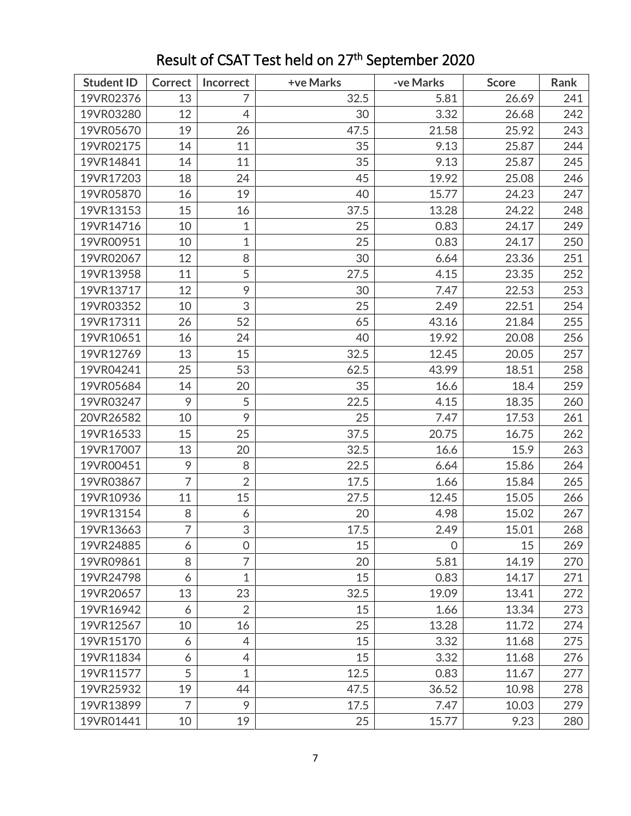| <b>Student ID</b> | <b>Correct</b> | Incorrect      | +ve Marks | -ve Marks      | <b>Score</b> | Rank |
|-------------------|----------------|----------------|-----------|----------------|--------------|------|
| 19VR02376         | 13             | $\overline{7}$ | 32.5      | 5.81           | 26.69        | 241  |
| 19VR03280         | 12             | $\overline{4}$ | 30        | 3.32           | 26.68        | 242  |
| 19VR05670         | 19             | 26             | 47.5      | 21.58          | 25.92        | 243  |
| 19VR02175         | 14             | 11             | 35        | 9.13           | 25.87        | 244  |
| 19VR14841         | 14             | 11             | 35        | 9.13           | 25.87        | 245  |
| 19VR17203         | 18             | 24             | 45        | 19.92          | 25.08        | 246  |
| 19VR05870         | 16             | 19             | 40        | 15.77          | 24.23        | 247  |
| 19VR13153         | 15             | 16             | 37.5      | 13.28          | 24.22        | 248  |
| 19VR14716         | 10             | 1              | 25        | 0.83           | 24.17        | 249  |
| 19VR00951         | 10             | $\mathbf 1$    | 25        | 0.83           | 24.17        | 250  |
| 19VR02067         | 12             | 8              | 30        | 6.64           | 23.36        | 251  |
| 19VR13958         | 11             | 5              | 27.5      | 4.15           | 23.35        | 252  |
| 19VR13717         | 12             | 9              | 30        | 7.47           | 22.53        | 253  |
| 19VR03352         | 10             | 3              | 25        | 2.49           | 22.51        | 254  |
| 19VR17311         | 26             | 52             | 65        | 43.16          | 21.84        | 255  |
| 19VR10651         | 16             | 24             | 40        | 19.92          | 20.08        | 256  |
| 19VR12769         | 13             | 15             | 32.5      | 12.45          | 20.05        | 257  |
| 19VR04241         | 25             | 53             | 62.5      | 43.99          | 18.51        | 258  |
| 19VR05684         | 14             | 20             | 35        | 16.6           | 18.4         | 259  |
| 19VR03247         | 9              | 5              | 22.5      | 4.15           | 18.35        | 260  |
| 20VR26582         | 10             | 9              | 25        | 7.47           | 17.53        | 261  |
| 19VR16533         | 15             | 25             | 37.5      | 20.75          | 16.75        | 262  |
| 19VR17007         | 13             | 20             | 32.5      | 16.6           | 15.9         | 263  |
| 19VR00451         | 9              | 8              | 22.5      | 6.64           | 15.86        | 264  |
| 19VR03867         | $\overline{7}$ | $\overline{2}$ | 17.5      | 1.66           | 15.84        | 265  |
| 19VR10936         | 11             | 15             | 27.5      | 12.45          | 15.05        | 266  |
| 19VR13154         | 8              | 6              | 20        | 4.98           | 15.02        | 267  |
| 19VR13663         | 7              | 3              | 17.5      | 2.49           | 15.01        | 268  |
| 19VR24885         | 6              | 0              | 15        | $\overline{O}$ | 15           | 269  |
| 19VR09861         | 8              | $\overline{7}$ | 20        | 5.81           | 14.19        | 270  |
| 19VR24798         | 6              | 1              | 15        | 0.83           | 14.17        | 271  |
| 19VR20657         | 13             | 23             | 32.5      | 19.09          | 13.41        | 272  |
| 19VR16942         | 6              | $\overline{2}$ | 15        | 1.66           | 13.34        | 273  |
| 19VR12567         | 10             | 16             | 25        | 13.28          | 11.72        | 274  |
| 19VR15170         | 6              | $\overline{4}$ | 15        | 3.32           | 11.68        | 275  |
| 19VR11834         | 6              | 4              | 15        | 3.32           | 11.68        | 276  |
| 19VR11577         | 5              | $\mathbf 1$    | 12.5      | 0.83           | 11.67        | 277  |
| 19VR25932         | 19             | 44             | 47.5      | 36.52          | 10.98        | 278  |
| 19VR13899         | $\overline{7}$ | 9              | 17.5      | 7.47           | 10.03        | 279  |
| 19VR01441         | 10             | 19             | 25        | 15.77          | 9.23         | 280  |